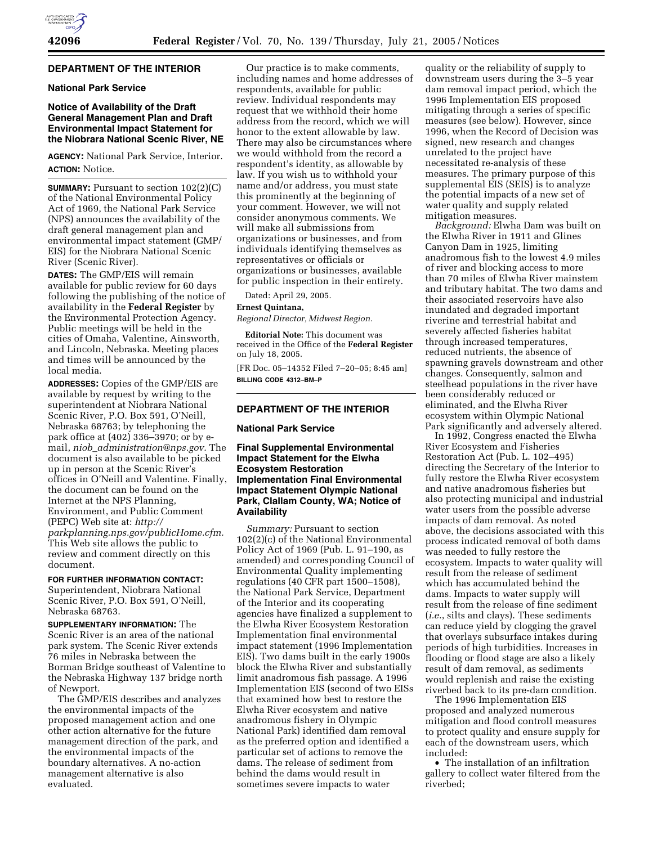### **DEPARTMENT OF THE INTERIOR**

#### **National Park Service**

## **Notice of Availability of the Draft General Management Plan and Draft Environmental Impact Statement for the Niobrara National Scenic River, NE**

**AGENCY:** National Park Service, Interior. **ACTION:** Notice.

**SUMMARY:** Pursuant to section 102(2)(C) of the National Environmental Policy Act of 1969, the National Park Service (NPS) announces the availability of the draft general management plan and environmental impact statement (GMP/ EIS) for the Niobrara National Scenic River (Scenic River).

**DATES:** The GMP/EIS will remain available for public review for 60 days following the publishing of the notice of availability in the **Federal Register** by the Environmental Protection Agency. Public meetings will be held in the cities of Omaha, Valentine, Ainsworth, and Lincoln, Nebraska. Meeting places and times will be announced by the local media.

**ADDRESSES:** Copies of the GMP/EIS are available by request by writing to the superintendent at Niobrara National Scenic River, P.O. Box 591, O'Neill, Nebraska 68763; by telephoning the park office at (402) 336–3970; or by email, *niob*\_*administration@nps.gov.* The document is also available to be picked up in person at the Scenic River's offices in O'Neill and Valentine. Finally, the document can be found on the Internet at the NPS Planning, Environment, and Public Comment (PEPC) Web site at: *http:// parkplanning.nps.gov/publicHome.cfm.* This Web site allows the public to review and comment directly on this document.

**FOR FURTHER INFORMATION CONTACT:**

Superintendent, Niobrara National Scenic River, P.O. Box 591, O'Neill, Nebraska 68763.

**SUPPLEMENTARY INFORMATION:** The Scenic River is an area of the national park system. The Scenic River extends 76 miles in Nebraska between the Borman Bridge southeast of Valentine to the Nebraska Highway 137 bridge north of Newport.

The GMP/EIS describes and analyzes the environmental impacts of the proposed management action and one other action alternative for the future management direction of the park, and the environmental impacts of the boundary alternatives. A no-action management alternative is also evaluated.

Our practice is to make comments, including names and home addresses of respondents, available for public review. Individual respondents may request that we withhold their home address from the record, which we will honor to the extent allowable by law. There may also be circumstances where we would withhold from the record a respondent's identity, as allowable by law. If you wish us to withhold your name and/or address, you must state this prominently at the beginning of your comment. However, we will not consider anonymous comments. We will make all submissions from organizations or businesses, and from individuals identifying themselves as representatives or officials or organizations or businesses, available for public inspection in their entirety.

Dated: April 29, 2005.

#### **Ernest Quintana,**

*Regional Director, Midwest Region.*

**Editorial Note:** This document was received in the Office of the **Federal Register** on July 18, 2005.

[FR Doc. 05–14352 Filed 7–20–05; 8:45 am] **BILLING CODE 4312–BM–P**

#### **DEPARTMENT OF THE INTERIOR**

## **National Park Service**

### **Final Supplemental Environmental Impact Statement for the Elwha Ecosystem Restoration Implementation Final Environmental Impact Statement Olympic National Park, Clallam County, WA; Notice of Availability**

*Summary:* Pursuant to section 102(2)(c) of the National Environmental Policy Act of 1969 (Pub. L. 91–190, as amended) and corresponding Council of Environmental Quality implementing regulations (40 CFR part 1500–1508), the National Park Service, Department of the Interior and its cooperating agencies have finalized a supplement to the Elwha River Ecosystem Restoration Implementation final environmental impact statement (1996 Implementation EIS). Two dams built in the early 1900s block the Elwha River and substantially limit anadromous fish passage. A 1996 Implementation EIS (second of two EISs that examined how best to restore the Elwha River ecosystem and native anadromous fishery in Olympic National Park) identified dam removal as the preferred option and identified a particular set of actions to remove the dams. The release of sediment from behind the dams would result in sometimes severe impacts to water

quality or the reliability of supply to downstream users during the 3–5 year dam removal impact period, which the 1996 Implementation EIS proposed mitigating through a series of specific measures (see below). However, since 1996, when the Record of Decision was signed, new research and changes unrelated to the project have necessitated re-analysis of these measures. The primary purpose of this supplemental EIS (SEIS) is to analyze the potential impacts of a new set of water quality and supply related mitigation measures.

*Background:* Elwha Dam was built on the Elwha River in 1911 and Glines Canyon Dam in 1925, limiting anadromous fish to the lowest 4.9 miles of river and blocking access to more than 70 miles of Elwha River mainstem and tributary habitat. The two dams and their associated reservoirs have also inundated and degraded important riverine and terrestrial habitat and severely affected fisheries habitat through increased temperatures, reduced nutrients, the absence of spawning gravels downstream and other changes. Consequently, salmon and steelhead populations in the river have been considerably reduced or eliminated, and the Elwha River ecosystem within Olympic National Park significantly and adversely altered.

In 1992, Congress enacted the Elwha River Ecosystem and Fisheries Restoration Act (Pub. L. 102–495) directing the Secretary of the Interior to fully restore the Elwha River ecosystem and native anadromous fisheries but also protecting municipal and industrial water users from the possible adverse impacts of dam removal. As noted above, the decisions associated with this process indicated removal of both dams was needed to fully restore the ecosystem. Impacts to water quality will result from the release of sediment which has accumulated behind the dams. Impacts to water supply will result from the release of fine sediment (*i.e.*, silts and clays). These sediments can reduce yield by clogging the gravel that overlays subsurface intakes during periods of high turbidities. Increases in flooding or flood stage are also a likely result of dam removal, as sediments would replenish and raise the existing riverbed back to its pre-dam condition.

The 1996 Implementation EIS proposed and analyzed numerous mitigation and flood controll measures to protect quality and ensure supply for each of the downstream users, which included:

• The installation of an infiltration gallery to collect water filtered from the riverbed;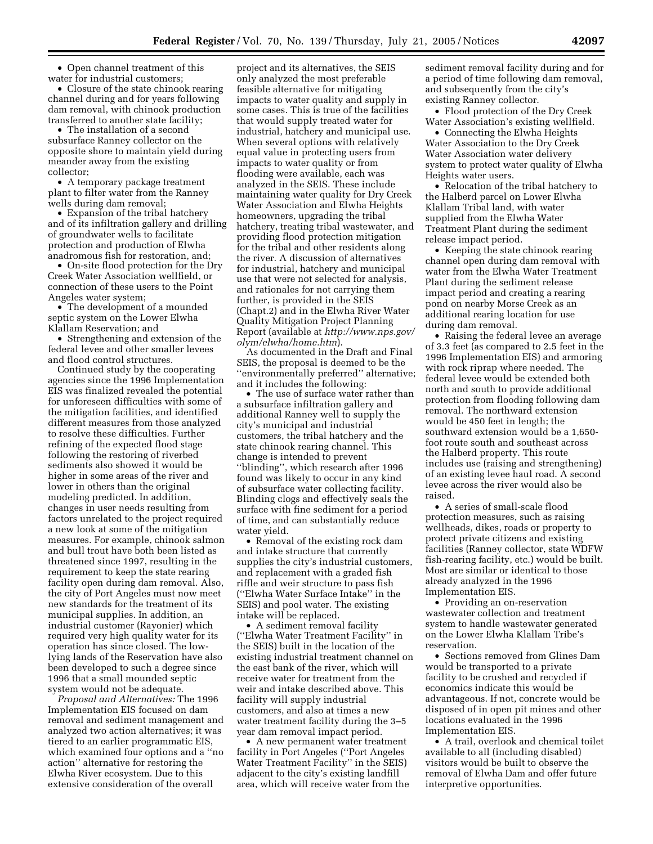• Open channel treatment of this water for industrial customers;

• Closure of the state chinook rearing channel during and for years following dam removal, with chinook production transferred to another state facility;

• The installation of a second subsurface Ranney collector on the opposite shore to maintain yield during meander away from the existing collector;

• A temporary package treatment plant to filter water from the Ranney wells during dam removal;

• Expansion of the tribal hatchery and of its infiltration gallery and drilling of groundwater wells to facilitate protection and production of Elwha anadromous fish for restoration, and;

• On-site flood protection for the Dry Creek Water Association wellfield, or connection of these users to the Point Angeles water system;

• The development of a mounded septic system on the Lower Elwha Klallam Reservation; and

• Strengthening and extension of the federal levee and other smaller levees and flood control structures.

Continued study by the cooperating agencies since the 1996 Implementation EIS was finalized revealed the potential for unforeseen difficulties with some of the mitigation facilities, and identified different measures from those analyzed to resolve these difficulties. Further refining of the expected flood stage following the restoring of riverbed sediments also showed it would be higher in some areas of the river and lower in others than the original modeling predicted. In addition, changes in user needs resulting from factors unrelated to the project required a new look at some of the mitigation measures. For example, chinook salmon and bull trout have both been listed as threatened since 1997, resulting in the requirement to keep the state rearing facility open during dam removal. Also, the city of Port Angeles must now meet new standards for the treatment of its municipal supplies. In addition, an industrial customer (Rayonier) which required very high quality water for its operation has since closed. The lowlying lands of the Reservation have also been developed to such a degree since 1996 that a small mounded septic system would not be adequate.

*Proposal and Alternatives:* The 1996 Implementation EIS focused on dam removal and sediment management and analyzed two action alternatives; it was tiered to an earlier programmatic EIS, which examined four options and a ''no action'' alternative for restoring the Elwha River ecosystem. Due to this extensive consideration of the overall

project and its alternatives, the SEIS only analyzed the most preferable feasible alternative for mitigating impacts to water quality and supply in some cases. This is true of the facilities that would supply treated water for industrial, hatchery and municipal use. When several options with relatively equal value in protecting users from impacts to water quality or from flooding were available, each was analyzed in the SEIS. These include maintaining water quality for Dry Creek Water Association and Elwha Heights homeowners, upgrading the tribal hatchery, treating tribal wastewater, and providing flood protection mitigation for the tribal and other residents along the river. A discussion of alternatives for industrial, hatchery and municipal use that were not selected for analysis, and rationales for not carrying them further, is provided in the SEIS (Chapt.2) and in the Elwha River Water Quality Mitigation Project Planning Report (available at *http://www.nps.gov/ olym/elwha/home.htm*).

As documented in the Draft and Final SEIS, the proposal is deemed to be the ''environmentally preferred'' alternative; and it includes the following:

• The use of surface water rather than a subsurface infiltration gallery and additional Ranney well to supply the city's municipal and industrial customers, the tribal hatchery and the state chinook rearing channel. This change is intended to prevent ''blinding'', which research after 1996 found was likely to occur in any kind of subsurface water collecting facility. Blinding clogs and effectively seals the surface with fine sediment for a period of time, and can substantially reduce water yield.

• Removal of the existing rock dam and intake structure that currently supplies the city's industrial customers, and replacement with a graded fish riffle and weir structure to pass fish (''Elwha Water Surface Intake'' in the SEIS) and pool water. The existing intake will be replaced.

• A sediment removal facility (''Elwha Water Treatment Facility'' in the SEIS) built in the location of the existing industrial treatment channel on the east bank of the river, which will receive water for treatment from the weir and intake described above. This facility will supply industrial customers, and also at times a new water treatment facility during the 3–5 year dam removal impact period.

• A new permanent water treatment facility in Port Angeles (''Port Angeles Water Treatment Facility'' in the SEIS) adjacent to the city's existing landfill area, which will receive water from the sediment removal facility during and for a period of time following dam removal, and subsequently from the city's existing Ranney collector.

• Flood protection of the Dry Creek Water Association's existing wellfield.

• Connecting the Elwha Heights Water Association to the Dry Creek Water Association water delivery system to protect water quality of Elwha Heights water users.

• Relocation of the tribal hatchery to the Halberd parcel on Lower Elwha Klallam Tribal land, with water supplied from the Elwha Water Treatment Plant during the sediment release impact period.

• Keeping the state chinook rearing channel open during dam removal with water from the Elwha Water Treatment Plant during the sediment release impact period and creating a rearing pond on nearby Morse Creek as an additional rearing location for use during dam removal.

• Raising the federal levee an average of 3.3 feet (as compared to 2.5 feet in the 1996 Implementation EIS) and armoring with rock riprap where needed. The federal levee would be extended both north and south to provide additional protection from flooding following dam removal. The northward extension would be 450 feet in length; the southward extension would be a 1,650 foot route south and southeast across the Halberd property. This route includes use (raising and strengthening) of an existing levee haul road. A second levee across the river would also be raised.

• A series of small-scale flood protection measures, such as raising wellheads, dikes, roads or property to protect private citizens and existing facilities (Ranney collector, state WDFW fish-rearing facility, etc.) would be built. Most are similar or identical to those already analyzed in the 1996 Implementation EIS.

• Providing an on-reservation wastewater collection and treatment system to handle wastewater generated on the Lower Elwha Klallam Tribe's reservation.

• Sections removed from Glines Dam would be transported to a private facility to be crushed and recycled if economics indicate this would be advantageous. If not, concrete would be disposed of in open pit mines and other locations evaluated in the 1996 Implementation EIS.

• A trail, overlook and chemical toilet available to all (including disabled) visitors would be built to observe the removal of Elwha Dam and offer future interpretive opportunities.